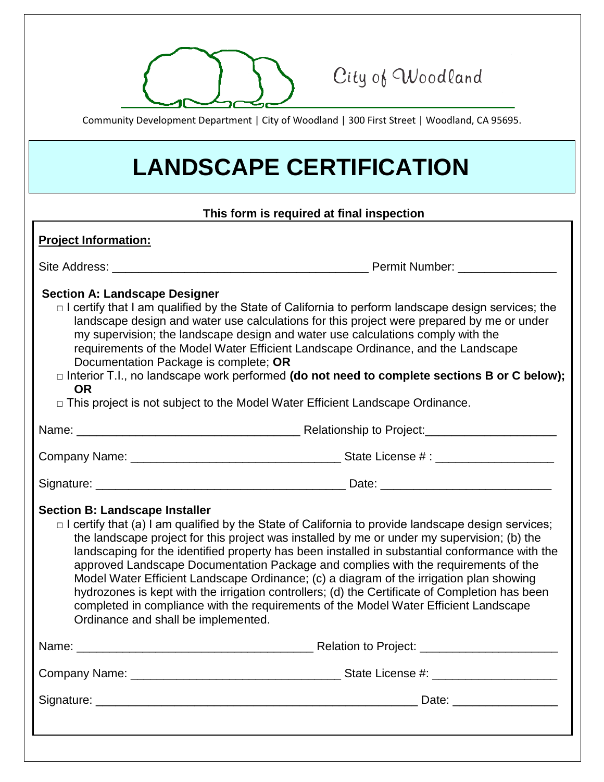

City of Woodland

Community Development Department | City of Woodland | 300 First Street | Woodland, CA 95695.

## **LANDSCAPE CERTIFICATION**

## **This form is required at final inspection**

| <b>Project Information:</b>                                                                                                                                                                                                                                                                                                                                                                                                                                                                                                                                                                                                                                                                                                                                           |                                                                                                                                                                                                                               |
|-----------------------------------------------------------------------------------------------------------------------------------------------------------------------------------------------------------------------------------------------------------------------------------------------------------------------------------------------------------------------------------------------------------------------------------------------------------------------------------------------------------------------------------------------------------------------------------------------------------------------------------------------------------------------------------------------------------------------------------------------------------------------|-------------------------------------------------------------------------------------------------------------------------------------------------------------------------------------------------------------------------------|
|                                                                                                                                                                                                                                                                                                                                                                                                                                                                                                                                                                                                                                                                                                                                                                       |                                                                                                                                                                                                                               |
| <b>Section A: Landscape Designer</b><br>$\Box$ I certify that I am qualified by the State of California to perform landscape design services; the<br>landscape design and water use calculations for this project were prepared by me or under<br>my supervision; the landscape design and water use calculations comply with the<br>requirements of the Model Water Efficient Landscape Ordinance, and the Landscape<br>Documentation Package is complete; OR<br>$\Box$ Interior T.I., no landscape work performed (do not need to complete sections B or C below);<br><b>OR</b><br>□ This project is not subject to the Model Water Efficient Landscape Ordinance.                                                                                                  |                                                                                                                                                                                                                               |
|                                                                                                                                                                                                                                                                                                                                                                                                                                                                                                                                                                                                                                                                                                                                                                       |                                                                                                                                                                                                                               |
|                                                                                                                                                                                                                                                                                                                                                                                                                                                                                                                                                                                                                                                                                                                                                                       |                                                                                                                                                                                                                               |
|                                                                                                                                                                                                                                                                                                                                                                                                                                                                                                                                                                                                                                                                                                                                                                       |                                                                                                                                                                                                                               |
| <b>Section B: Landscape Installer</b><br>$\Box$ I certify that (a) I am qualified by the State of California to provide landscape design services;<br>the landscape project for this project was installed by me or under my supervision; (b) the<br>landscaping for the identified property has been installed in substantial conformance with the<br>approved Landscape Documentation Package and complies with the requirements of the<br>Model Water Efficient Landscape Ordinance; (c) a diagram of the irrigation plan showing<br>hydrozones is kept with the irrigation controllers; (d) the Certificate of Completion has been<br>completed in compliance with the requirements of the Model Water Efficient Landscape<br>Ordinance and shall be implemented. |                                                                                                                                                                                                                               |
|                                                                                                                                                                                                                                                                                                                                                                                                                                                                                                                                                                                                                                                                                                                                                                       | Name: Name: Name: Name: Name: Name: Name: Name: Name: Name: Name: Name: Name: Name: Name: Name: Name: Name: Name: Name: Name: Name: Name: Name: Name: Name: Name: Name: Name: Name: Name: Name: Name: Name: Name: Name: Name: |
|                                                                                                                                                                                                                                                                                                                                                                                                                                                                                                                                                                                                                                                                                                                                                                       |                                                                                                                                                                                                                               |
|                                                                                                                                                                                                                                                                                                                                                                                                                                                                                                                                                                                                                                                                                                                                                                       |                                                                                                                                                                                                                               |
|                                                                                                                                                                                                                                                                                                                                                                                                                                                                                                                                                                                                                                                                                                                                                                       |                                                                                                                                                                                                                               |